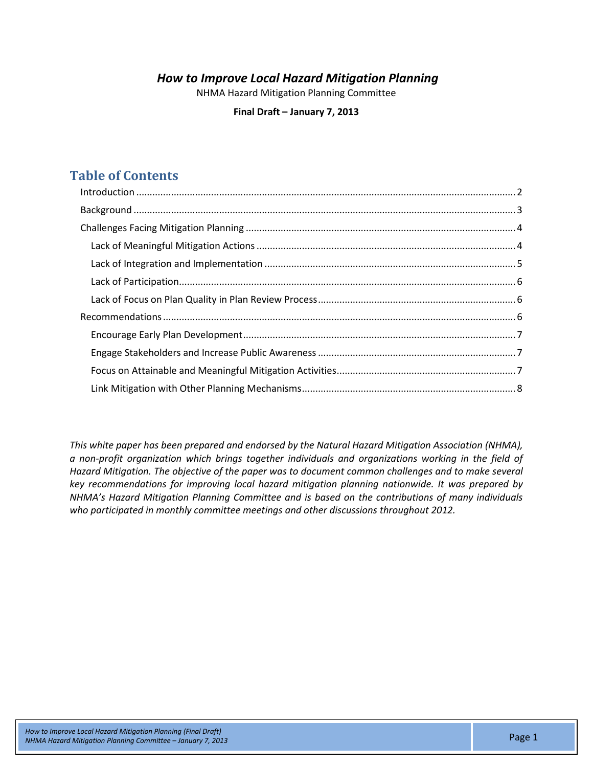## *How to Improve Local Hazard Mitigation Planning*

NHMA Hazard Mitigation Planning Committee

**Final Draft – January 7, 2013**

# **Table of Contents**

*This white paper has been prepared and endorsed by the Natural Hazard Mitigation Association (NHMA), a non-profit organization which brings together individuals and organizations working in the field of Hazard Mitigation. The objective of the paper was to document common challenges and to make several key recommendations for improving local hazard mitigation planning nationwide. It was prepared by NHMA's Hazard Mitigation Planning Committee and is based on the contributions of many individuals who participated in monthly committee meetings and other discussions throughout 2012.*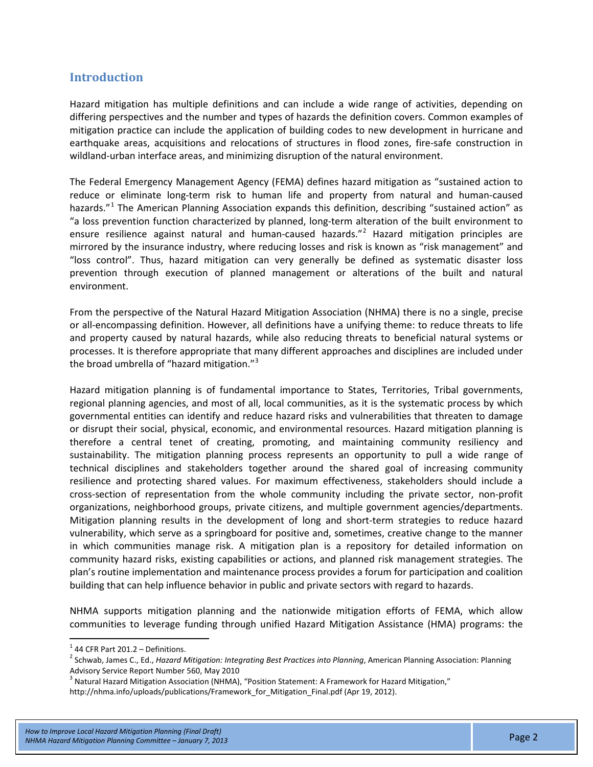### <span id="page-1-0"></span>**Introduction**

Hazard mitigation has multiple definitions and can include a wide range of activities, depending on differing perspectives and the number and types of hazards the definition covers. Common examples of mitigation practice can include the application of building codes to new development in hurricane and earthquake areas, acquisitions and relocations of structures in flood zones, fire-safe construction in wildland-urban interface areas, and minimizing disruption of the natural environment.

The Federal Emergency Management Agency (FEMA) defines hazard mitigation as "sustained action to reduce or eliminate long-term risk to human life and property from natural and human-caused hazards."<sup>[1](#page-1-1)</sup> The American Planning Association expands this definition, describing "sustained action" as "a loss prevention function characterized by planned, long-term alteration of the built environment to ensure resilience against natural and human-caused hazards."<sup>[2](#page-1-2)</sup> Hazard mitigation principles are mirrored by the insurance industry, where reducing losses and risk is known as "risk management" and "loss control". Thus, hazard mitigation can very generally be defined as systematic disaster loss prevention through execution of planned management or alterations of the built and natural environment.

From the perspective of the Natural Hazard Mitigation Association (NHMA) there is no a single, precise or all-encompassing definition. However, all definitions have a unifying theme: to reduce threats to life and property caused by natural hazards, while also reducing threats to beneficial natural systems or processes. It is therefore appropriate that many different approaches and disciplines are included under the broad umbrella of "hazard mitigation."<sup>[3](#page-1-3)</sup>

Hazard mitigation planning is of fundamental importance to States, Territories, Tribal governments, regional planning agencies, and most of all, local communities, as it is the systematic process by which governmental entities can identify and reduce hazard risks and vulnerabilities that threaten to damage or disrupt their social, physical, economic, and environmental resources. Hazard mitigation planning is therefore a central tenet of creating, promoting, and maintaining community resiliency and sustainability. The mitigation planning process represents an opportunity to pull a wide range of technical disciplines and stakeholders together around the shared goal of increasing community resilience and protecting shared values. For maximum effectiveness, stakeholders should include a cross-section of representation from the whole community including the private sector, non-profit organizations, neighborhood groups, private citizens, and multiple government agencies/departments. Mitigation planning results in the development of long and short-term strategies to reduce hazard vulnerability, which serve as a springboard for positive and, sometimes, creative change to the manner in which communities manage risk. A mitigation plan is a repository for detailed information on community hazard risks, existing capabilities or actions, and planned risk management strategies. The plan's routine implementation and maintenance process provides a forum for participation and coalition building that can help influence behavior in public and private sectors with regard to hazards.

NHMA supports mitigation planning and the nationwide mitigation efforts of FEMA, which allow communities to leverage funding through unified Hazard Mitigation Assistance (HMA) programs: the

<span id="page-1-2"></span><span id="page-1-1"></span><sup>&</sup>lt;sup>1</sup> 44 CFR Part 201.2 – Definitions.<br><sup>2</sup> Schwab, James C., Ed., *Hazard Mitigation: Integrating Best Practices into Planning*, American Planning Association: Planning Advisory Service Report Number 560, May 2010

<span id="page-1-3"></span><sup>&</sup>lt;sup>3</sup> Natural Hazard Mitigation Association (NHMA), "Position Statement: A Framework for Hazard Mitigation," http://nhma.info/uploads/publications/Framework\_for\_Mitigation\_Final.pdf (Apr 19, 2012).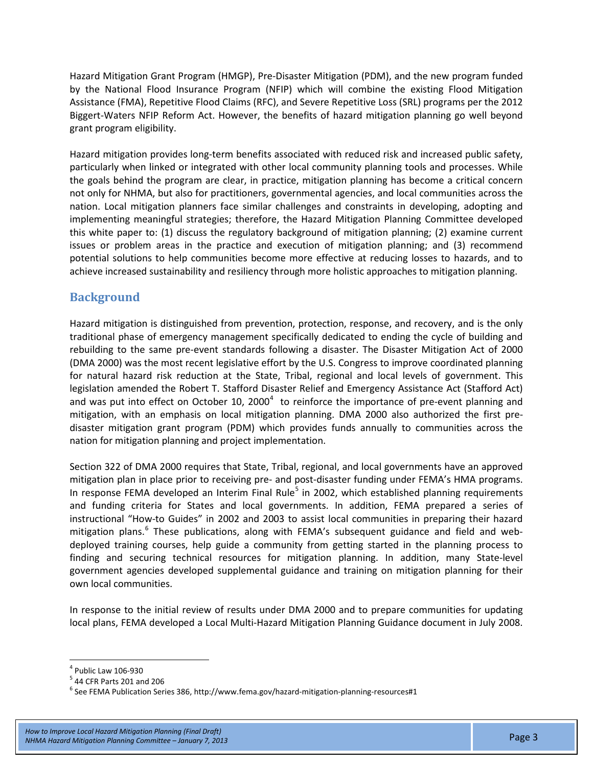Hazard Mitigation Grant Program (HMGP), Pre-Disaster Mitigation (PDM), and the new program funded by the National Flood Insurance Program (NFIP) which will combine the existing Flood Mitigation Assistance (FMA), Repetitive Flood Claims (RFC), and Severe Repetitive Loss (SRL) programs per the 2012 Biggert-Waters NFIP Reform Act. However, the benefits of hazard mitigation planning go well beyond grant program eligibility.

Hazard mitigation provides long-term benefits associated with reduced risk and increased public safety, particularly when linked or integrated with other local community planning tools and processes. While the goals behind the program are clear, in practice, mitigation planning has become a critical concern not only for NHMA, but also for practitioners, governmental agencies, and local communities across the nation. Local mitigation planners face similar challenges and constraints in developing, adopting and implementing meaningful strategies; therefore, the Hazard Mitigation Planning Committee developed this white paper to: (1) discuss the regulatory background of mitigation planning; (2) examine current issues or problem areas in the practice and execution of mitigation planning; and (3) recommend potential solutions to help communities become more effective at reducing losses to hazards, and to achieve increased sustainability and resiliency through more holistic approaches to mitigation planning.

# <span id="page-2-0"></span>**Background**

Hazard mitigation is distinguished from prevention, protection, response, and recovery, and is the only traditional phase of emergency management specifically dedicated to ending the cycle of building and rebuilding to the same pre-event standards following a disaster. The Disaster Mitigation Act of 2000 (DMA 2000) was the most recent legislative effort by the U.S. Congress to improve coordinated planning for natural hazard risk reduction at the State, Tribal, regional and local levels of government. This legislation amended the Robert T. Stafford Disaster Relief and Emergency Assistance Act (Stafford Act) and was put into effect on October 10, 2000<sup>[4](#page-2-1)</sup> to reinforce the importance of pre-event planning and mitigation, with an emphasis on local mitigation planning. DMA 2000 also authorized the first predisaster mitigation grant program (PDM) which provides funds annually to communities across the nation for mitigation planning and project implementation.

Section 322 of DMA 2000 requires that State, Tribal, regional, and local governments have an approved mitigation plan in place prior to receiving pre- and post-disaster funding under FEMA's HMA programs. In response FEMA developed an Interim Final Rule<sup>[5](#page-2-2)</sup> in 2002, which established planning requirements and funding criteria for States and local governments. In addition, FEMA prepared a series of instructional "How-to Guides" in 2002 and 2003 to assist local communities in preparing their hazard mitigation plans.<sup>[6](#page-2-3)</sup> These publications, along with FEMA's subsequent guidance and field and webdeployed training courses, help guide a community from getting started in the planning process to finding and securing technical resources for mitigation planning. In addition, many State-level government agencies developed supplemental guidance and training on mitigation planning for their own local communities.

In response to the initial review of results under DMA 2000 and to prepare communities for updating local plans, FEMA developed a Local Multi-Hazard Mitigation Planning Guidance document in July 2008.

<span id="page-2-1"></span> $^4$  Public Law 106-930<br> $^5$  44 CFR Parts 201 and 206

<span id="page-2-3"></span><span id="page-2-2"></span> $^6$  See FEMA Publication Series 386, http://www.fema.gov/hazard-mitigation-planning-resources#1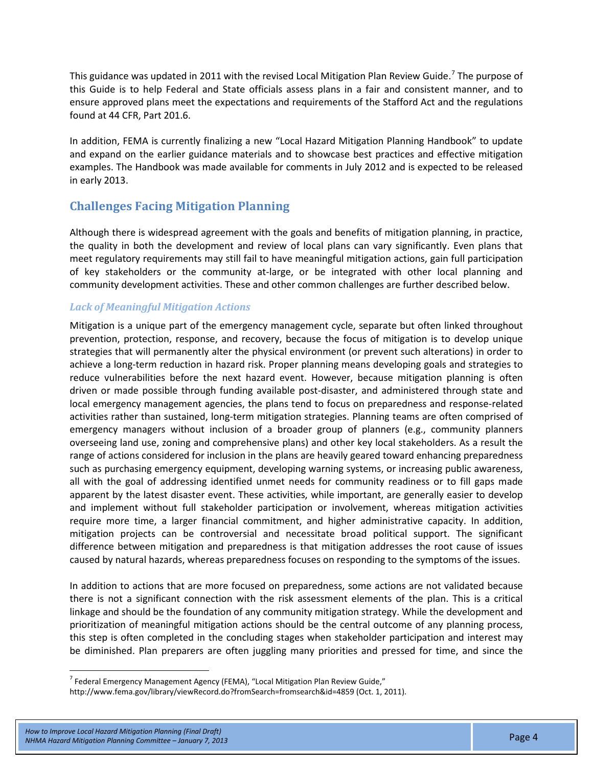This guidance was updated in 2011 with the revised Local Mitigation Plan Review Guide.<sup>[7](#page-3-2)</sup> The purpose of this Guide is to help Federal and State officials assess plans in a fair and consistent manner, and to ensure approved plans meet the expectations and requirements of the Stafford Act and the regulations found at 44 CFR, Part 201.6.

In addition, FEMA is currently finalizing a new "Local Hazard Mitigation Planning Handbook" to update and expand on the earlier guidance materials and to showcase best practices and effective mitigation examples. The Handbook was made available for comments in July 2012 and is expected to be released in early 2013.

# <span id="page-3-0"></span>**Challenges Facing Mitigation Planning**

Although there is widespread agreement with the goals and benefits of mitigation planning, in practice, the quality in both the development and review of local plans can vary significantly. Even plans that meet regulatory requirements may still fail to have meaningful mitigation actions, gain full participation of key stakeholders or the community at-large, or be integrated with other local planning and community development activities. These and other common challenges are further described below.

### <span id="page-3-1"></span>*Lack of Meaningful Mitigation Actions*

Mitigation is a unique part of the emergency management cycle, separate but often linked throughout prevention, protection, response, and recovery, because the focus of mitigation is to develop unique strategies that will permanently alter the physical environment (or prevent such alterations) in order to achieve a long-term reduction in hazard risk. Proper planning means developing goals and strategies to reduce vulnerabilities before the next hazard event. However, because mitigation planning is often driven or made possible through funding available post-disaster, and administered through state and local emergency management agencies, the plans tend to focus on preparedness and response-related activities rather than sustained, long-term mitigation strategies. Planning teams are often comprised of emergency managers without inclusion of a broader group of planners (e.g., community planners overseeing land use, zoning and comprehensive plans) and other key local stakeholders. As a result the range of actions considered for inclusion in the plans are heavily geared toward enhancing preparedness such as purchasing emergency equipment, developing warning systems, or increasing public awareness, all with the goal of addressing identified unmet needs for community readiness or to fill gaps made apparent by the latest disaster event. These activities, while important, are generally easier to develop and implement without full stakeholder participation or involvement, whereas mitigation activities require more time, a larger financial commitment, and higher administrative capacity. In addition, mitigation projects can be controversial and necessitate broad political support. The significant difference between mitigation and preparedness is that mitigation addresses the root cause of issues caused by natural hazards, whereas preparedness focuses on responding to the symptoms of the issues.

In addition to actions that are more focused on preparedness, some actions are not validated because there is not a significant connection with the risk assessment elements of the plan. This is a critical linkage and should be the foundation of any community mitigation strategy. While the development and prioritization of meaningful mitigation actions should be the central outcome of any planning process, this step is often completed in the concluding stages when stakeholder participation and interest may be diminished. Plan preparers are often juggling many priorities and pressed for time, and since the

<span id="page-3-2"></span> $7$  Federal Emergency Management Agency (FEMA), "Local Mitigation Plan Review Guide,"

http://www.fema.gov/library/viewRecord.do?fromSearch=fromsearch&id=4859 (Oct. 1, 2011).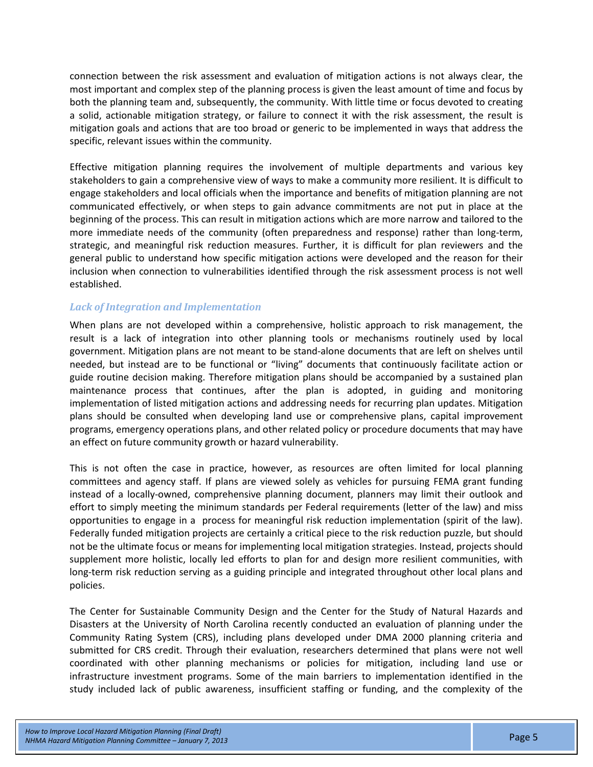connection between the risk assessment and evaluation of mitigation actions is not always clear, the most important and complex step of the planning process is given the least amount of time and focus by both the planning team and, subsequently, the community. With little time or focus devoted to creating a solid, actionable mitigation strategy, or failure to connect it with the risk assessment, the result is mitigation goals and actions that are too broad or generic to be implemented in ways that address the specific, relevant issues within the community.

Effective mitigation planning requires the involvement of multiple departments and various key stakeholders to gain a comprehensive view of ways to make a community more resilient. It is difficult to engage stakeholders and local officials when the importance and benefits of mitigation planning are not communicated effectively, or when steps to gain advance commitments are not put in place at the beginning of the process. This can result in mitigation actions which are more narrow and tailored to the more immediate needs of the community (often preparedness and response) rather than long-term, strategic, and meaningful risk reduction measures. Further, it is difficult for plan reviewers and the general public to understand how specific mitigation actions were developed and the reason for their inclusion when connection to vulnerabilities identified through the risk assessment process is not well established.

#### <span id="page-4-0"></span>*Lack of Integration and Implementation*

When plans are not developed within a comprehensive, holistic approach to risk management, the result is a lack of integration into other planning tools or mechanisms routinely used by local government. Mitigation plans are not meant to be stand-alone documents that are left on shelves until needed, but instead are to be functional or "living" documents that continuously facilitate action or guide routine decision making. Therefore mitigation plans should be accompanied by a sustained plan maintenance process that continues, after the plan is adopted, in guiding and monitoring implementation of listed mitigation actions and addressing needs for recurring plan updates. Mitigation plans should be consulted when developing land use or comprehensive plans, capital improvement programs, emergency operations plans, and other related policy or procedure documents that may have an effect on future community growth or hazard vulnerability.

This is not often the case in practice, however, as resources are often limited for local planning committees and agency staff. If plans are viewed solely as vehicles for pursuing FEMA grant funding instead of a locally-owned, comprehensive planning document, planners may limit their outlook and effort to simply meeting the minimum standards per Federal requirements (letter of the law) and miss opportunities to engage in a process for meaningful risk reduction implementation (spirit of the law). Federally funded mitigation projects are certainly a critical piece to the risk reduction puzzle, but should not be the ultimate focus or means for implementing local mitigation strategies. Instead, projects should supplement more holistic, locally led efforts to plan for and design more resilient communities, with long-term risk reduction serving as a guiding principle and integrated throughout other local plans and policies.

The Center for Sustainable Community Design and the Center for the Study of Natural Hazards and Disasters at the University of North Carolina recently conducted an evaluation of planning under the Community Rating System (CRS), including plans developed under DMA 2000 planning criteria and submitted for CRS credit. Through their evaluation, researchers determined that plans were not well coordinated with other planning mechanisms or policies for mitigation, including land use or infrastructure investment programs. Some of the main barriers to implementation identified in the study included lack of public awareness, insufficient staffing or funding, and the complexity of the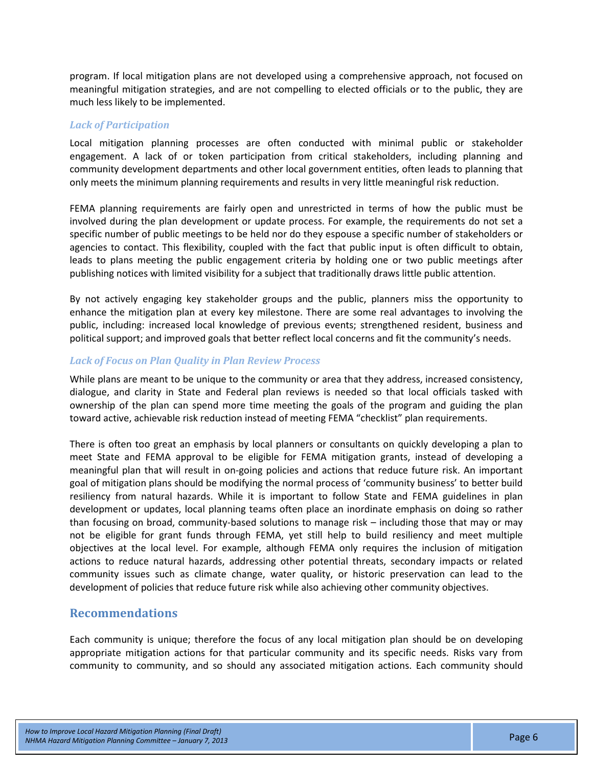program. If local mitigation plans are not developed using a comprehensive approach, not focused on meaningful mitigation strategies, and are not compelling to elected officials or to the public, they are much less likely to be implemented.

#### <span id="page-5-0"></span>*Lack of Participation*

Local mitigation planning processes are often conducted with minimal public or stakeholder engagement. A lack of or token participation from critical stakeholders, including planning and community development departments and other local government entities, often leads to planning that only meets the minimum planning requirements and results in very little meaningful risk reduction.

FEMA planning requirements are fairly open and unrestricted in terms of how the public must be involved during the plan development or update process. For example, the requirements do not set a specific number of public meetings to be held nor do they espouse a specific number of stakeholders or agencies to contact. This flexibility, coupled with the fact that public input is often difficult to obtain, leads to plans meeting the public engagement criteria by holding one or two public meetings after publishing notices with limited visibility for a subject that traditionally draws little public attention.

By not actively engaging key stakeholder groups and the public, planners miss the opportunity to enhance the mitigation plan at every key milestone. There are some real advantages to involving the public, including: increased local knowledge of previous events; strengthened resident, business and political support; and improved goals that better reflect local concerns and fit the community's needs.

#### <span id="page-5-1"></span>*Lack of Focus on Plan Quality in Plan Review Process*

While plans are meant to be unique to the community or area that they address, increased consistency, dialogue, and clarity in State and Federal plan reviews is needed so that local officials tasked with ownership of the plan can spend more time meeting the goals of the program and guiding the plan toward active, achievable risk reduction instead of meeting FEMA "checklist" plan requirements.

There is often too great an emphasis by local planners or consultants on quickly developing a plan to meet State and FEMA approval to be eligible for FEMA mitigation grants, instead of developing a meaningful plan that will result in on-going policies and actions that reduce future risk. An important goal of mitigation plans should be modifying the normal process of 'community business' to better build resiliency from natural hazards. While it is important to follow State and FEMA guidelines in plan development or updates, local planning teams often place an inordinate emphasis on doing so rather than focusing on broad, community-based solutions to manage risk – including those that may or may not be eligible for grant funds through FEMA, yet still help to build resiliency and meet multiple objectives at the local level. For example, although FEMA only requires the inclusion of mitigation actions to reduce natural hazards, addressing other potential threats, secondary impacts or related community issues such as climate change, water quality, or historic preservation can lead to the development of policies that reduce future risk while also achieving other community objectives.

### <span id="page-5-2"></span>**Recommendations**

Each community is unique; therefore the focus of any local mitigation plan should be on developing appropriate mitigation actions for that particular community and its specific needs. Risks vary from community to community, and so should any associated mitigation actions. Each community should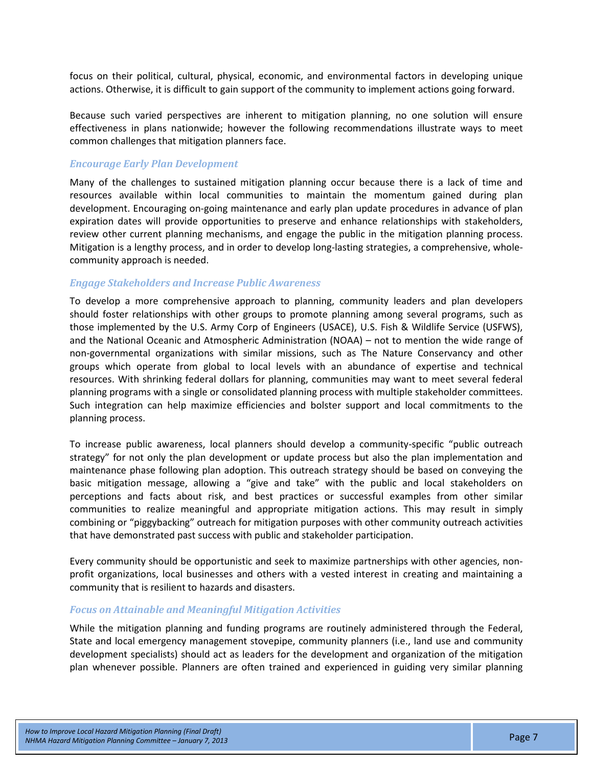focus on their political, cultural, physical, economic, and environmental factors in developing unique actions. Otherwise, it is difficult to gain support of the community to implement actions going forward.

Because such varied perspectives are inherent to mitigation planning, no one solution will ensure effectiveness in plans nationwide; however the following recommendations illustrate ways to meet common challenges that mitigation planners face.

#### <span id="page-6-0"></span>*Encourage Early Plan Development*

Many of the challenges to sustained mitigation planning occur because there is a lack of time and resources available within local communities to maintain the momentum gained during plan development. Encouraging on-going maintenance and early plan update procedures in advance of plan expiration dates will provide opportunities to preserve and enhance relationships with stakeholders, review other current planning mechanisms, and engage the public in the mitigation planning process. Mitigation is a lengthy process, and in order to develop long-lasting strategies, a comprehensive, wholecommunity approach is needed.

#### <span id="page-6-1"></span>*Engage Stakeholders and Increase Public Awareness*

To develop a more comprehensive approach to planning, community leaders and plan developers should foster relationships with other groups to promote planning among several programs, such as those implemented by the U.S. Army Corp of Engineers (USACE), U.S. Fish & Wildlife Service (USFWS), and the National Oceanic and Atmospheric Administration (NOAA) – not to mention the wide range of non-governmental organizations with similar missions, such as The Nature Conservancy and other groups which operate from global to local levels with an abundance of expertise and technical resources. With shrinking federal dollars for planning, communities may want to meet several federal planning programs with a single or consolidated planning process with multiple stakeholder committees. Such integration can help maximize efficiencies and bolster support and local commitments to the planning process.

To increase public awareness, local planners should develop a community-specific "public outreach strategy" for not only the plan development or update process but also the plan implementation and maintenance phase following plan adoption. This outreach strategy should be based on conveying the basic mitigation message, allowing a "give and take" with the public and local stakeholders on perceptions and facts about risk, and best practices or successful examples from other similar communities to realize meaningful and appropriate mitigation actions. This may result in simply combining or "piggybacking" outreach for mitigation purposes with other community outreach activities that have demonstrated past success with public and stakeholder participation.

Every community should be opportunistic and seek to maximize partnerships with other agencies, nonprofit organizations, local businesses and others with a vested interest in creating and maintaining a community that is resilient to hazards and disasters.

#### <span id="page-6-2"></span>*Focus on Attainable and Meaningful Mitigation Activities*

While the mitigation planning and funding programs are routinely administered through the Federal, State and local emergency management stovepipe, community planners (i.e., land use and community development specialists) should act as leaders for the development and organization of the mitigation plan whenever possible. Planners are often trained and experienced in guiding very similar planning